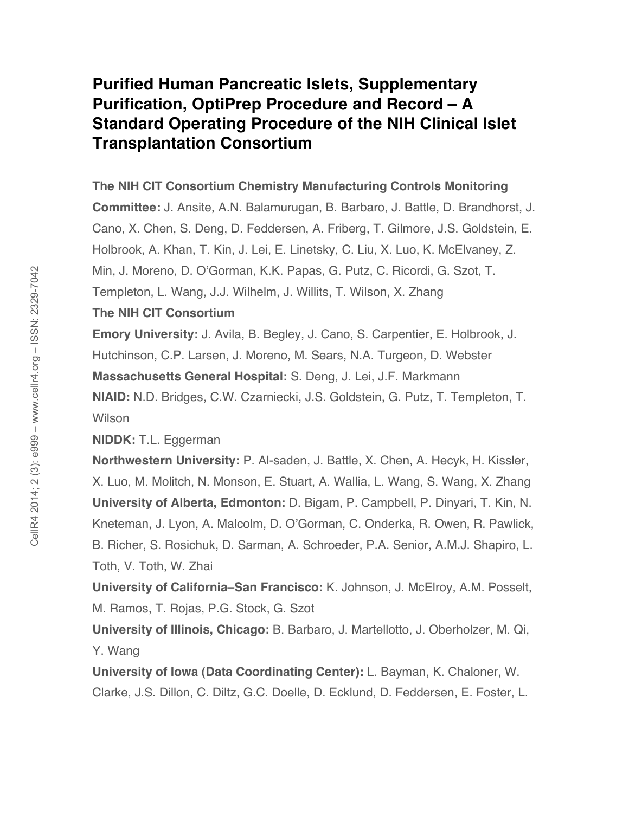# **Purified Human Pancreatic Islets, Supplementary Purification, OptiPrep Procedure and Record – A Standard Operating Procedure of the NIH Clinical Islet Transplantation Consortium**

### **The NIH CIT Consortium Chemistry Manufacturing Controls Monitoring**

**Committee:** J. Ansite, A.N. Balamurugan, B. Barbaro, J. Battle, D. Brandhorst, J. Cano, X. Chen, S. Deng, D. Feddersen, A. Friberg, T. Gilmore, J.S. Goldstein, E. Holbrook, A. Khan, T. Kin, J. Lei, E. Linetsky, C. Liu, X. Luo, K. McElvaney, Z. Min, J. Moreno, D. O'Gorman, K.K. Papas, G. Putz, C. Ricordi, G. Szot, T. Templeton, L. Wang, J.J. Wilhelm, J. Willits, T. Wilson, X. Zhang

## **The NIH CIT Consortium**

**Emory University:** J. Avila, B. Begley, J. Cano, S. Carpentier, E. Holbrook, J. Hutchinson, C.P. Larsen, J. Moreno, M. Sears, N.A. Turgeon, D. Webster **Massachusetts General Hospital:** S. Deng, J. Lei, J.F. Markmann **NIAID:** N.D. Bridges, C.W. Czarniecki, J.S. Goldstein, G. Putz, T. Templeton, T. **Wilson** 

**NIDDK:** T.L. Eggerman

**Northwestern University:** P. Al-saden, J. Battle, X. Chen, A. Hecyk, H. Kissler, X. Luo, M. Molitch, N. Monson, E. Stuart, A. Wallia, L. Wang, S. Wang, X. Zhang **University of Alberta, Edmonton:** D. Bigam, P. Campbell, P. Dinyari, T. Kin, N. Kneteman, J. Lyon, A. Malcolm, D. O'Gorman, C. Onderka, R. Owen, R. Pawlick, B. Richer, S. Rosichuk, D. Sarman, A. Schroeder, P.A. Senior, A.M.J. Shapiro, L. Toth, V. Toth, W. Zhai

**University of California–San Francisco:** K. Johnson, J. McElroy, A.M. Posselt, M. Ramos, T. Rojas, P.G. Stock, G. Szot

**University of Illinois, Chicago:** B. Barbaro, J. Martellotto, J. Oberholzer, M. Qi, Y. Wang

**University of Iowa (Data Coordinating Center):** L. Bayman, K. Chaloner, W. Clarke, J.S. Dillon, C. Diltz, G.C. Doelle, D. Ecklund, D. Feddersen, E. Foster, L.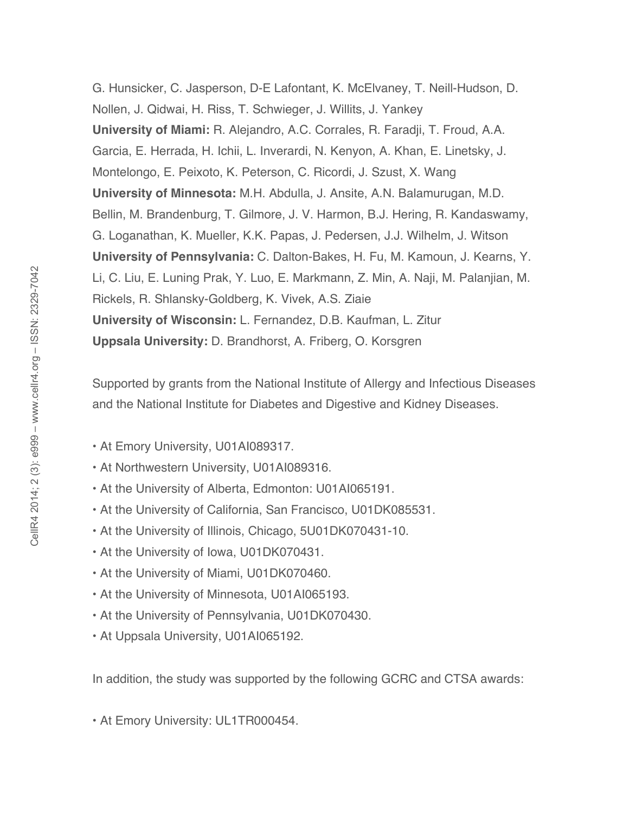G. Hunsicker, C. Jasperson, D-E Lafontant, K. McElvaney, T. Neill-Hudson, D. Nollen, J. Qidwai, H. Riss, T. Schwieger, J. Willits, J. Yankey **University of Miami:** R. Alejandro, A.C. Corrales, R. Faradji, T. Froud, A.A. Garcia, E. Herrada, H. Ichii, L. Inverardi, N. Kenyon, A. Khan, E. Linetsky, J. Montelongo, E. Peixoto, K. Peterson, C. Ricordi, J. Szust, X. Wang **University of Minnesota:** M.H. Abdulla, J. Ansite, A.N. Balamurugan, M.D. Bellin, M. Brandenburg, T. Gilmore, J. V. Harmon, B.J. Hering, R. Kandaswamy, G. Loganathan, K. Mueller, K.K. Papas, J. Pedersen, J.J. Wilhelm, J. Witson **University of Pennsylvania:** C. Dalton-Bakes, H. Fu, M. Kamoun, J. Kearns, Y. Li, C. Liu, E. Luning Prak, Y. Luo, E. Markmann, Z. Min, A. Naji, M. Palanjian, M. Rickels, R. Shlansky-Goldberg, K. Vivek, A.S. Ziaie **University of Wisconsin:** L. Fernandez, D.B. Kaufman, L. Zitur **Uppsala University:** D. Brandhorst, A. Friberg, O. Korsgren

Supported by grants from the National Institute of Allergy and Infectious Diseases and the National Institute for Diabetes and Digestive and Kidney Diseases.

- At Emory University, U01AI089317.
- At Northwestern University, U01AI089316.
- At the University of Alberta, Edmonton: U01AI065191.
- At the University of California, San Francisco, U01DK085531.
- At the University of Illinois, Chicago, 5U01DK070431-10.
- At the University of Iowa, U01DK070431.
- At the University of Miami, U01DK070460.
- At the University of Minnesota, U01AI065193.
- At the University of Pennsylvania, U01DK070430.
- At Uppsala University, U01AI065192.

In addition, the study was supported by the following GCRC and CTSA awards:

• At Emory University: UL1TR000454.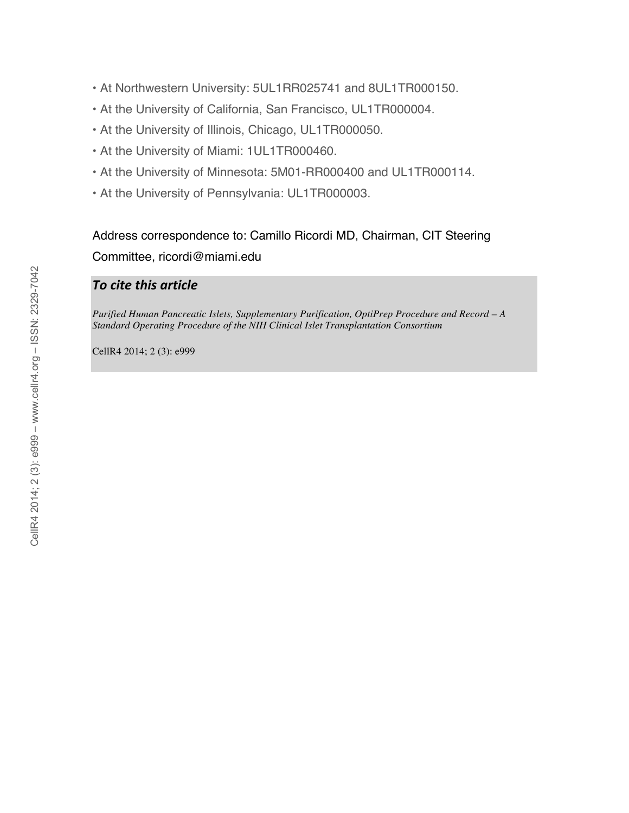- At Northwestern University: 5UL1RR025741 and 8UL1TR000150.
- At the University of California, San Francisco, UL1TR000004.
- At the University of Illinois, Chicago, UL1TR000050.
- At the University of Miami: 1UL1TR000460.
- At the University of Minnesota: 5M01-RR000400 and UL1TR000114.
- At the University of Pennsylvania: UL1TR000003.

Address correspondence to: Camillo Ricordi MD, Chairman, CIT Steering Committee, ricordi@miami.edu

## *To
cite
this
article*

*Purified Human Pancreatic Islets, Supplementary Purification, OptiPrep Procedure and Record – A Standard Operating Procedure of the NIH Clinical Islet Transplantation Consortium*

CellR4 2014; 2 (3): e999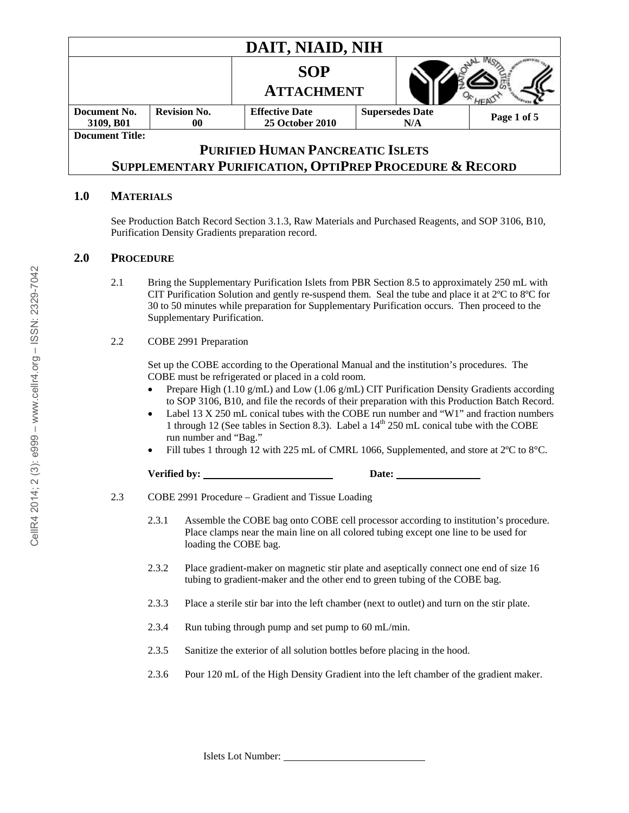| DAIT, NIAID, NIH                                                   |                           |                                                 |                               |  |             |  |
|--------------------------------------------------------------------|---------------------------|-------------------------------------------------|-------------------------------|--|-------------|--|
|                                                                    |                           | <b>SOP</b><br><b>ATTACHMENT</b>                 |                               |  |             |  |
| Document No.<br>3109, B01                                          | <b>Revision No.</b><br>00 | <b>Effective Date</b><br><b>25 October 2010</b> | <b>Supersedes Date</b><br>N/A |  | Page 1 of 5 |  |
| <b>Document Title:</b>                                             |                           |                                                 |                               |  |             |  |
| <b>PURIFIED HUMAN PANCREATIC ISLETS</b>                            |                           |                                                 |                               |  |             |  |
| <b>SUPPLEMENTARY PURIFICATION, OPTIPREP PROCEDURE &amp; RECORD</b> |                           |                                                 |                               |  |             |  |

#### **1.0 MATERIALS**

See Production Batch Record Section 3.1.3, Raw Materials and Purchased Reagents, and SOP 3106, B10, Purification Density Gradients preparation record.

#### **2.0 PROCEDURE**

2.1 Bring the Supplementary Purification Islets from PBR Section 8.5 to approximately 250 mL with CIT Purification Solution and gently re-suspend them. Seal the tube and place it at 2ºC to 8ºC for 30 to 50 minutes while preparation for Supplementary Purification occurs. Then proceed to the Supplementary Purification.

#### 2.2 COBE 2991 Preparation

Set up the COBE according to the Operational Manual and the institution's procedures. The COBE must be refrigerated or placed in a cold room.

- Prepare High (1.10 g/mL) and Low (1.06 g/mL) CIT Purification Density Gradients according to SOP 3106, B10, and file the records of their preparation with this Production Batch Record.
- Label 13 X 250 mL conical tubes with the COBE run number and "W1" and fraction numbers 1 through 12 (See tables in Section 8.3). Label a  $14<sup>th</sup> 250$  mL conical tube with the COBE run number and "Bag."
- Fill tubes 1 through 12 with 225 mL of CMRL 1066, Supplemented, and store at 2ºC to 8°C.

**Verified by: Date:** 

- 2.3 COBE 2991 Procedure Gradient and Tissue Loading
	- 2.3.1 Assemble the COBE bag onto COBE cell processor according to institution's procedure. Place clamps near the main line on all colored tubing except one line to be used for loading the COBE bag.
	- 2.3.2 Place gradient-maker on magnetic stir plate and aseptically connect one end of size 16 tubing to gradient-maker and the other end to green tubing of the COBE bag.
	- 2.3.3 Place a sterile stir bar into the left chamber (next to outlet) and turn on the stir plate.
	- 2.3.4 Run tubing through pump and set pump to 60 mL/min.
	- 2.3.5 Sanitize the exterior of all solution bottles before placing in the hood.
	- 2.3.6 Pour 120 mL of the High Density Gradient into the left chamber of the gradient maker.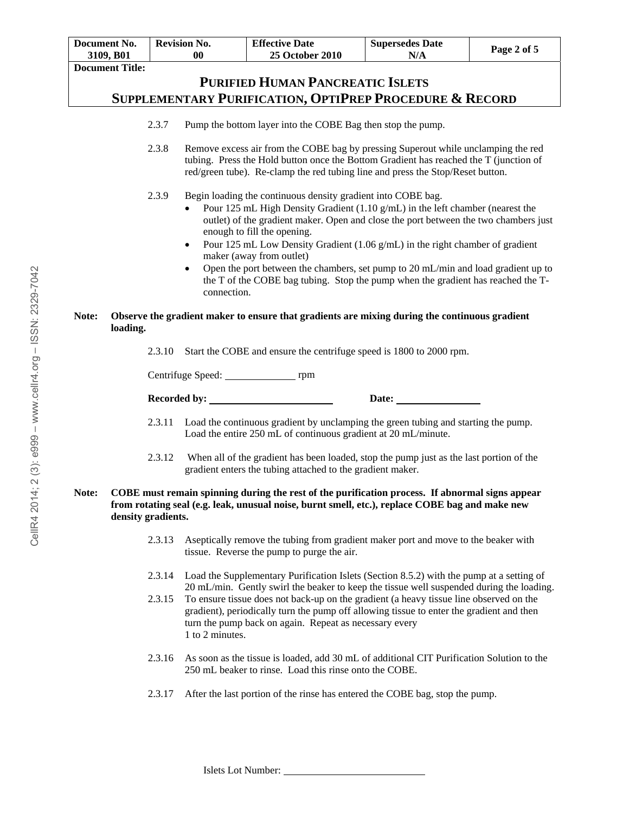|       | <b>Document No.</b><br>3109, B01                                                                                                                                                                                         |        | <b>Revision No.</b><br>$\bf{00}$                                               | <b>Effective Date</b><br><b>25 October 2010</b>                                                                                                                                                                                                                                                                                                                                                                                                                                                                                                                       | <b>Supersedes Date</b><br>N/A | Page 2 of 5 |
|-------|--------------------------------------------------------------------------------------------------------------------------------------------------------------------------------------------------------------------------|--------|--------------------------------------------------------------------------------|-----------------------------------------------------------------------------------------------------------------------------------------------------------------------------------------------------------------------------------------------------------------------------------------------------------------------------------------------------------------------------------------------------------------------------------------------------------------------------------------------------------------------------------------------------------------------|-------------------------------|-------------|
|       | <b>Document Title:</b>                                                                                                                                                                                                   |        |                                                                                |                                                                                                                                                                                                                                                                                                                                                                                                                                                                                                                                                                       |                               |             |
|       |                                                                                                                                                                                                                          |        |                                                                                | <b>PURIFIED HUMAN PANCREATIC ISLETS</b>                                                                                                                                                                                                                                                                                                                                                                                                                                                                                                                               |                               |             |
|       |                                                                                                                                                                                                                          |        |                                                                                | SUPPLEMENTARY PURIFICATION, OPTIPREP PROCEDURE & RECORD                                                                                                                                                                                                                                                                                                                                                                                                                                                                                                               |                               |             |
|       |                                                                                                                                                                                                                          | 2.3.7  |                                                                                | Pump the bottom layer into the COBE Bag then stop the pump.                                                                                                                                                                                                                                                                                                                                                                                                                                                                                                           |                               |             |
|       |                                                                                                                                                                                                                          | 2.3.8  | red/green tube). Re-clamp the red tubing line and press the Stop/Reset button. | Remove excess air from the COBE bag by pressing Superout while unclamping the red<br>tubing. Press the Hold button once the Bottom Gradient has reached the T (junction of                                                                                                                                                                                                                                                                                                                                                                                            |                               |             |
|       |                                                                                                                                                                                                                          | 2.3.9  | $\bullet$<br>$\bullet$<br>connection.                                          | Begin loading the continuous density gradient into COBE bag.<br>Pour 125 mL High Density Gradient $(1.10 \text{ g/mL})$ in the left chamber (nearest the<br>outlet) of the gradient maker. Open and close the port between the two chambers just<br>enough to fill the opening.<br>Pour 125 mL Low Density Gradient (1.06 g/mL) in the right chamber of gradient<br>maker (away from outlet)<br>Open the port between the chambers, set pump to 20 mL/min and load gradient up to<br>the T of the COBE bag tubing. Stop the pump when the gradient has reached the T- |                               |             |
| Note: | Observe the gradient maker to ensure that gradients are mixing during the continuous gradient<br>loading.                                                                                                                |        |                                                                                |                                                                                                                                                                                                                                                                                                                                                                                                                                                                                                                                                                       |                               |             |
|       |                                                                                                                                                                                                                          | 2.3.10 |                                                                                | Start the COBE and ensure the centrifuge speed is 1800 to 2000 rpm.                                                                                                                                                                                                                                                                                                                                                                                                                                                                                                   |                               |             |
|       |                                                                                                                                                                                                                          |        |                                                                                |                                                                                                                                                                                                                                                                                                                                                                                                                                                                                                                                                                       |                               |             |
|       |                                                                                                                                                                                                                          |        |                                                                                |                                                                                                                                                                                                                                                                                                                                                                                                                                                                                                                                                                       | Date:                         |             |
|       |                                                                                                                                                                                                                          | 2.3.11 |                                                                                | Load the continuous gradient by unclamping the green tubing and starting the pump.<br>Load the entire 250 mL of continuous gradient at 20 mL/minute.                                                                                                                                                                                                                                                                                                                                                                                                                  |                               |             |
|       |                                                                                                                                                                                                                          | 2.3.12 |                                                                                | When all of the gradient has been loaded, stop the pump just as the last portion of the<br>gradient enters the tubing attached to the gradient maker.                                                                                                                                                                                                                                                                                                                                                                                                                 |                               |             |
| Note: | COBE must remain spinning during the rest of the purification process. If abnormal signs appear<br>from rotating seal (e.g. leak, unusual noise, burnt smell, etc.), replace COBE bag and make new<br>density gradients. |        |                                                                                |                                                                                                                                                                                                                                                                                                                                                                                                                                                                                                                                                                       |                               |             |
|       |                                                                                                                                                                                                                          | 2.3.13 |                                                                                | Aseptically remove the tubing from gradient maker port and move to the beaker with<br>tissue. Reverse the pump to purge the air.                                                                                                                                                                                                                                                                                                                                                                                                                                      |                               |             |
|       |                                                                                                                                                                                                                          | 2.3.14 |                                                                                | Load the Supplementary Purification Islets (Section 8.5.2) with the pump at a setting of<br>20 mL/min. Gently swirl the beaker to keep the tissue well suspended during the loading.                                                                                                                                                                                                                                                                                                                                                                                  |                               |             |
|       |                                                                                                                                                                                                                          | 2.3.15 |                                                                                | To ensure tissue does not back-up on the gradient (a heavy tissue line observed on the<br>gradient), periodically turn the pump off allowing tissue to enter the gradient and then<br>turn the pump back on again. Repeat as necessary every                                                                                                                                                                                                                                                                                                                          |                               |             |

- 2.3.16 As soon as the tissue is loaded, add 30 mL of additional CIT Purification Solution to the 250 mL beaker to rinse. Load this rinse onto the COBE.
- 2.3.17 After the last portion of the rinse has entered the COBE bag, stop the pump.

1 to 2 minutes.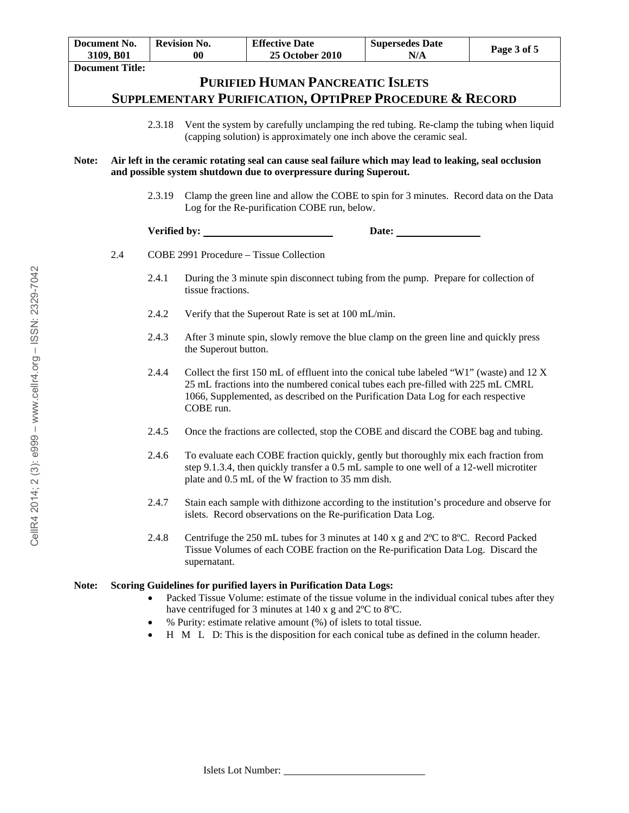|       | Document No.<br>3109, B01                                                                                                                                                   |              | <b>Revision No.</b><br>00 | <b>Effective Date</b><br>25 October 2010                                                                                                                                                                                                                          | <b>Supersedes Date</b><br>N/A  | Page 3 of 5 |  |  |
|-------|-----------------------------------------------------------------------------------------------------------------------------------------------------------------------------|--------------|---------------------------|-------------------------------------------------------------------------------------------------------------------------------------------------------------------------------------------------------------------------------------------------------------------|--------------------------------|-------------|--|--|
|       | <b>Document Title:</b>                                                                                                                                                      |              |                           |                                                                                                                                                                                                                                                                   |                                |             |  |  |
|       | <b>PURIFIED HUMAN PANCREATIC ISLETS</b>                                                                                                                                     |              |                           |                                                                                                                                                                                                                                                                   |                                |             |  |  |
|       | SUPPLEMENTARY PURIFICATION, OPTIPREP PROCEDURE & RECORD                                                                                                                     |              |                           |                                                                                                                                                                                                                                                                   |                                |             |  |  |
|       |                                                                                                                                                                             | 2.3.18       |                           | Vent the system by carefully unclamping the red tubing. Re-clamp the tubing when liquid<br>(capping solution) is approximately one inch above the ceramic seal.                                                                                                   |                                |             |  |  |
| Note: | Air left in the ceramic rotating seal can cause seal failure which may lead to leaking, seal occlusion<br>and possible system shutdown due to overpressure during Superout. |              |                           |                                                                                                                                                                                                                                                                   |                                |             |  |  |
|       |                                                                                                                                                                             | 2.3.19       |                           | Clamp the green line and allow the COBE to spin for 3 minutes. Record data on the Data<br>Log for the Re-purification COBE run, below.                                                                                                                            |                                |             |  |  |
|       |                                                                                                                                                                             | Verified by: |                           |                                                                                                                                                                                                                                                                   | Date: $\overline{\phantom{a}}$ |             |  |  |
|       | 2.4                                                                                                                                                                         |              |                           | COBE 2991 Procedure - Tissue Collection                                                                                                                                                                                                                           |                                |             |  |  |
|       |                                                                                                                                                                             | 2.4.1        | tissue fractions.         | During the 3 minute spin disconnect tubing from the pump. Prepare for collection of                                                                                                                                                                               |                                |             |  |  |
|       |                                                                                                                                                                             | 2.4.2        |                           | Verify that the Superout Rate is set at 100 mL/min.                                                                                                                                                                                                               |                                |             |  |  |
|       |                                                                                                                                                                             | 2.4.3        | the Superout button.      | After 3 minute spin, slowly remove the blue clamp on the green line and quickly press                                                                                                                                                                             |                                |             |  |  |
|       |                                                                                                                                                                             | 2.4.4        | COBE run.                 | Collect the first 150 mL of effluent into the conical tube labeled "W1" (waste) and 12 X<br>25 mL fractions into the numbered conical tubes each pre-filled with 225 mL CMRL<br>1066, Supplemented, as described on the Purification Data Log for each respective |                                |             |  |  |
|       |                                                                                                                                                                             | 2.4.5        |                           | Once the fractions are collected, stop the COBE and discard the COBE bag and tubing.                                                                                                                                                                              |                                |             |  |  |
|       |                                                                                                                                                                             | 2.4.6        |                           | To evaluate each COBE fraction quickly, gently but thoroughly mix each fraction from<br>step 9.1.3.4, then quickly transfer a 0.5 mL sample to one well of a 12-well microtiter<br>plate and 0.5 mL of the W fraction to 35 mm dish.                              |                                |             |  |  |
|       |                                                                                                                                                                             | 2.4.7        |                           | Stain each sample with dithizone according to the institution's procedure and observe for<br>islets. Record observations on the Re-purification Data Log.                                                                                                         |                                |             |  |  |
|       |                                                                                                                                                                             | 2.4.8        | supernatant.              | Centrifuge the 250 mL tubes for 3 minutes at 140 x g and 2°C to 8°C. Record Packed<br>Tissue Volumes of each COBE fraction on the Re-purification Data Log. Discard the                                                                                           |                                |             |  |  |
| Note: |                                                                                                                                                                             |              |                           | Scoring Guidelines for purified layers in Purification Data Logs:<br>Packed Tissue Volume: estimate of the tissue volume in the individual conical tubes after they<br>have centrifuged for 3 minutes at 140 x g and 2°C to 8°C.                                  |                                |             |  |  |

- % Purity: estimate relative amount (%) of islets to total tissue.
- $\bullet$  H M L D: This is the disposition for each conical tube as defined in the column header.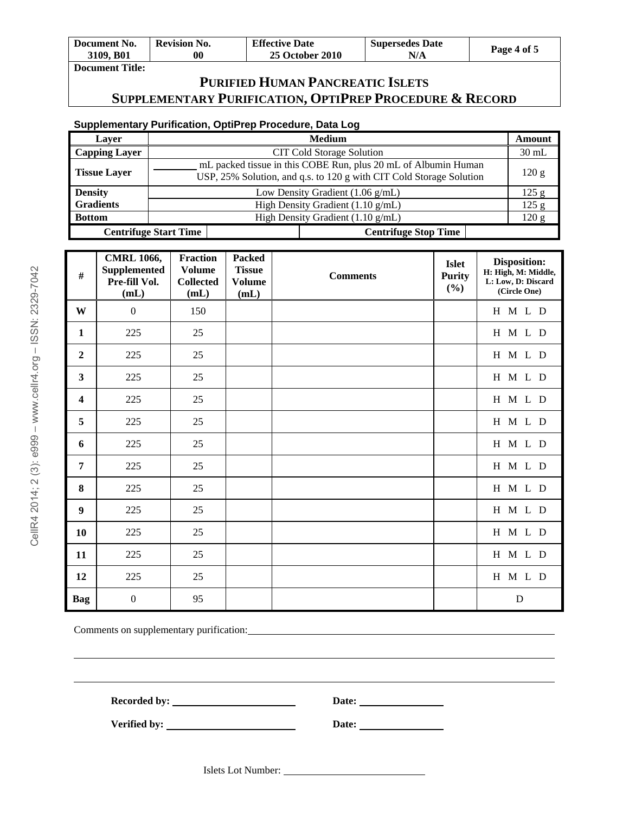| Document No. | <b>Revision No.</b> | <b>Effective Date</b>  | <b>Supersedes Date</b> |             |
|--------------|---------------------|------------------------|------------------------|-------------|
| 3109. B01    | 00                  | <b>25 October 2010</b> | N/A                    | Page 4 of 5 |
| ---          |                     |                        |                        |             |

#### **Document Title:**

## **PURIFIED HUMAN PANCREATIC ISLETS SUPPLEMENTARY PURIFICATION, OPTIPREP PROCEDURE & RECORD**

## **Supplementary Purification, OptiPrep Procedure, Data Log**

| Laver                | <b>Medium</b>                                                                                                                         |                             | Amount  |
|----------------------|---------------------------------------------------------------------------------------------------------------------------------------|-----------------------------|---------|
| <b>Capping Layer</b> | CIT Cold Storage Solution                                                                                                             |                             | $30$ mL |
| <b>Tissue Layer</b>  | mL packed tissue in this COBE Run, plus 20 mL of Albumin Human<br>USP, 25% Solution, and q.s. to 120 g with CIT Cold Storage Solution |                             | 120 g   |
| <b>Density</b>       | Low Density Gradient $(1.06 \text{ g/mL})$                                                                                            |                             |         |
| <b>Gradients</b>     | High Density Gradient $(1.10 \text{ g/mL})$                                                                                           |                             | 125 g   |
| <b>Bottom</b>        | High Density Gradient (1.10 g/mL)                                                                                                     |                             |         |
|                      | <b>Centrifuge Start Time</b>                                                                                                          | <b>Centrifuge Stop Time</b> |         |

| #                       | <b>CMRL 1066,</b><br><b>Supplemented</b><br>Pre-fill Vol.<br>(mL) | <b>Fraction</b><br><b>Volume</b><br><b>Collected</b><br>(mL) | <b>Packed</b><br><b>Tissue</b><br><b>Volume</b><br>(mL) | <b>Comments</b> | <b>Islet</b><br><b>Purity</b><br>$(\%)$ | <b>Disposition:</b><br>H: High, M: Middle,<br>L: Low, D: Discard<br>(Circle One) |
|-------------------------|-------------------------------------------------------------------|--------------------------------------------------------------|---------------------------------------------------------|-----------------|-----------------------------------------|----------------------------------------------------------------------------------|
| W                       | $\overline{0}$                                                    | 150                                                          |                                                         |                 |                                         | H M L D                                                                          |
| $\mathbf{1}$            | 225                                                               | 25                                                           |                                                         |                 |                                         | H M L D                                                                          |
| $\overline{2}$          | 225                                                               | 25                                                           |                                                         |                 |                                         | H M L D                                                                          |
| $\overline{\mathbf{3}}$ | 225                                                               | 25                                                           |                                                         |                 |                                         | H M L D                                                                          |
| $\overline{\mathbf{4}}$ | 225                                                               | 25                                                           |                                                         |                 |                                         | H M L D                                                                          |
| 5                       | 225                                                               | 25                                                           |                                                         |                 |                                         | H M L D                                                                          |
| 6                       | 225                                                               | 25                                                           |                                                         |                 |                                         | H M L D                                                                          |
| 7                       | 225                                                               | 25                                                           |                                                         |                 |                                         | H M L D                                                                          |
| 8                       | 225                                                               | 25                                                           |                                                         |                 |                                         | H M L D                                                                          |
| 9                       | 225                                                               | 25                                                           |                                                         |                 |                                         | H M L D                                                                          |
| 10                      | 225                                                               | 25                                                           |                                                         |                 |                                         | H M L D                                                                          |
| 11                      | 225                                                               | 25                                                           |                                                         |                 |                                         | H M L D                                                                          |
| 12                      | 225                                                               | 25                                                           |                                                         |                 |                                         | H M L D                                                                          |
| Bag                     | $\boldsymbol{0}$                                                  | 95                                                           |                                                         |                 |                                         | ${\bf D}$                                                                        |

Comments on supplementary purification:

Recorded by: <u>Date:</u> Date:

Verified by: <u>Date:</u> Date:

Islets Lot Number: